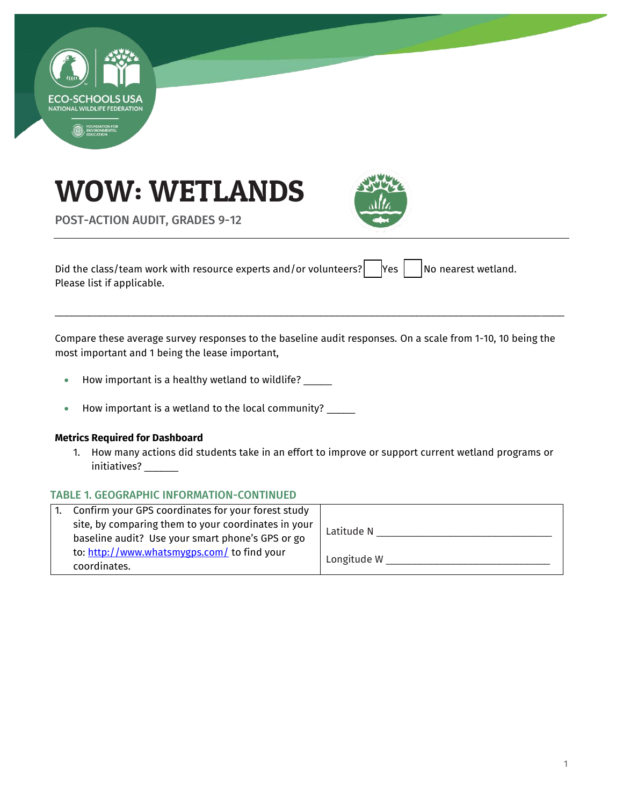





POST-ACTION AUDIT, GRADES 9-12

Did the class/team work with resource experts and/or volunteers?  $\vert$  Yes  $\vert$  No nearest wetland. Please list if applicable.

Compare these average survey responses to the baseline audit responses. On a scale from 1-10, 10 being the most important and 1 being the lease important,

\_\_\_\_\_\_\_\_\_\_\_\_\_\_\_\_\_\_\_\_\_\_\_\_\_\_\_\_\_\_\_\_\_\_\_\_\_\_\_\_\_\_\_\_\_\_\_\_\_\_\_\_\_\_\_\_\_\_\_\_\_\_\_\_\_\_\_\_\_\_\_\_\_\_\_\_\_\_\_\_\_\_\_\_\_\_\_\_\_\_

- How important is a healthy wetland to wildlife? \_\_\_\_\_
- How important is a wetland to the local community? \_\_\_\_\_

#### **Metrics Required for Dashboard**

1. How many actions did students take in an effort to improve or support current wetland programs or initiatives? \_\_\_\_\_\_

# TABLE 1. GEOGRAPHIC INFORMATION-CONTINUED

| Confirm your GPS coordinates for your forest study  |             |
|-----------------------------------------------------|-------------|
| site, by comparing them to your coordinates in your | Latitude N  |
| baseline audit? Use your smart phone's GPS or go    |             |
| to: http://www.whatsmygps.com/ to find your         | Longitude W |
| coordinates.                                        |             |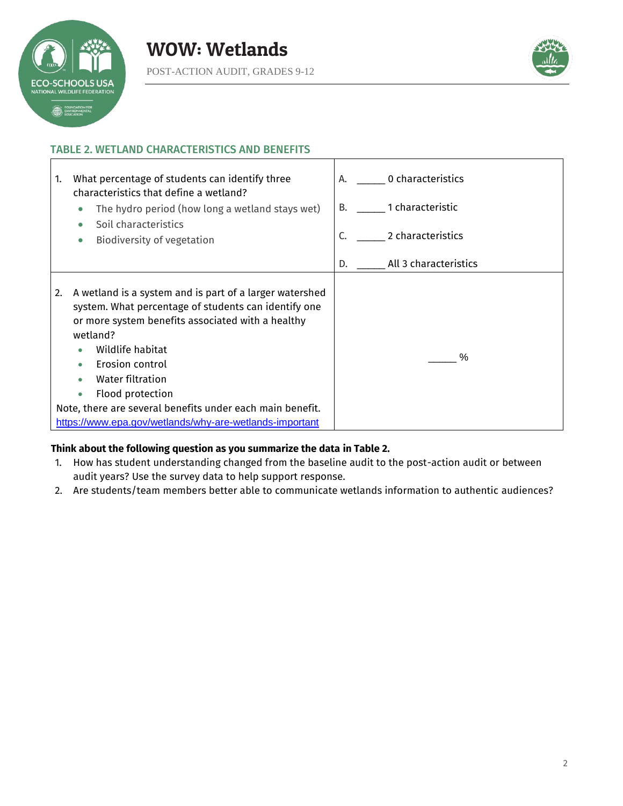



# TABLE 2. WETLAND CHARACTERISTICS AND BENEFITS



#### **Think about the following question as you summarize the data in Table 2.**

- 1. How has student understanding changed from the baseline audit to the post-action audit or between audit years? Use the survey data to help support response.
- 2. Are students/team members better able to communicate wetlands information to authentic audiences?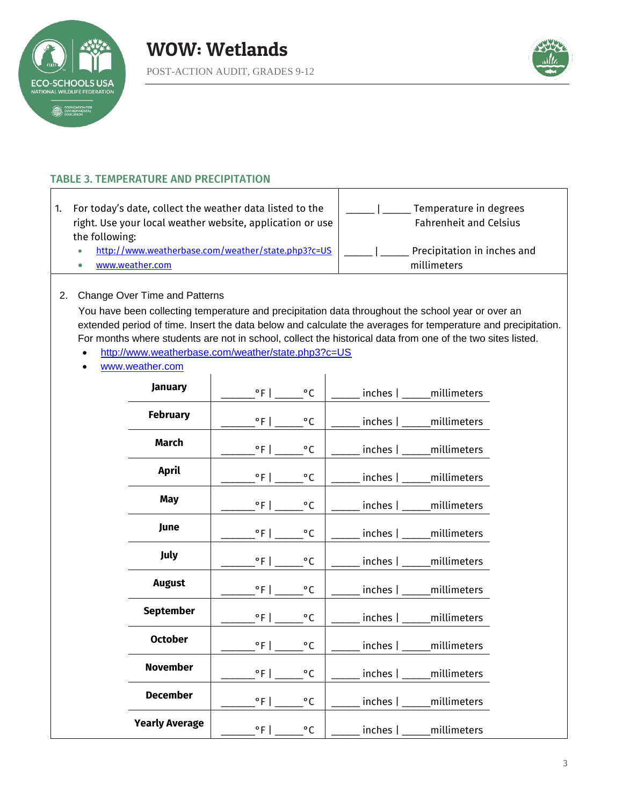



# TABLE 3. TEMPERATURE AND PRECIPITATION

| For today's date, collect the weather data listed to the<br>right. Use your local weather website, application or use | Temperature in degrees<br><b>Fahrenheit and Celsius</b> |
|-----------------------------------------------------------------------------------------------------------------------|---------------------------------------------------------|
| the following:                                                                                                        |                                                         |
| http://www.weatherbase.com/weather/state.php3?c=US                                                                    | Precipitation in inches and                             |
| www.weather.com                                                                                                       | millimeters                                             |

 $\mathbf{I}$ 

#### 2. Change Over Time and Patterns

You have been collecting temperature and precipitation data throughout the school year or over an extended period of time. Insert the data below and calculate the averages for temperature and precipitation. For months where students are not in school, collect the historical data from one of the two sites listed.

- <http://www.weatherbase.com/weather/state.php3?c=US>
- [www.weather.com](http://www.weather.com/)

| <b>January</b>        | $^{\circ}$ F                     | $^{\circ}$ C      | inches   _____ millimeters                                           |
|-----------------------|----------------------------------|-------------------|----------------------------------------------------------------------|
| <b>February</b>       | $\mathcal{C}$ $\mathcal{C}$      |                   | ___ inches   _____ millimeters                                       |
| <b>March</b>          |                                  | $^{\circ}$ C      | __ inches   ____ millimeters                                         |
| <b>April</b>          | $\degree$ F   ______ $\degree$ C |                   | $\overline{\phantom{a}}$ inches $\overline{\phantom{a}}$ millimeters |
| <b>May</b>            | $\sqrt{\degree}$ F   _____       | $^{\circ}$ C      | __ inches   _____ millimeters                                        |
| June                  |                                  | $^{\circ}$ C      | $\overline{\phantom{a}}$ inches $\overline{\phantom{a}}$ millimeters |
| July                  | $^{\circ}$ F   $^{\circ}$ C      |                   | $\overline{\phantom{a}}$ inches $\overline{\phantom{a}}$ millimeters |
| <b>August</b>         | $\degree$ F   $\_$               | $^{\circ}$ C      | inches   _____ millimeters                                           |
| <b>September</b>      |                                  | $^{\circ}$ C      | inches   _____ millimeters                                           |
| <b>October</b>        |                                  | $^{\circ}$ C      | inches   _____ millimeters                                           |
| <b>November</b>       |                                  | $^{\circ}{\rm C}$ | inches   millimeters                                                 |
| <b>December</b>       | $\cdot$ °F $\bot$                | $^{\circ}$ C      | _ inches   ____ millimeters                                          |
| <b>Yearly Average</b> |                                  | $^{\circ}$ C      | inches   millimeters                                                 |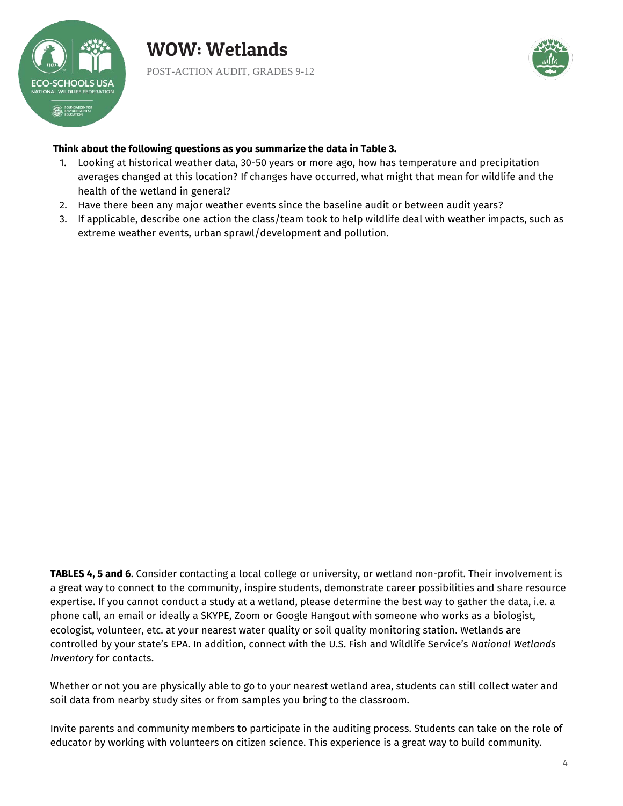



#### **Think about the following questions as you summarize the data in Table 3.**

- 1. Looking at historical weather data, 30-50 years or more ago, how has temperature and precipitation averages changed at this location? If changes have occurred, what might that mean for wildlife and the health of the wetland in general?
- 2. Have there been any major weather events since the baseline audit or between audit years?
- 3. If applicable, describe one action the class/team took to help wildlife deal with weather impacts, such as extreme weather events, urban sprawl/development and pollution.

**TABLES 4, 5 and 6**. Consider contacting a local college or university, or wetland non-profit. Their involvement is a great way to connect to the community, inspire students, demonstrate career possibilities and share resource expertise. If you cannot conduct a study at a wetland, please determine the best way to gather the data, i.e. a phone call, an email or ideally a SKYPE, Zoom or Google Hangout with someone who works as a biologist, ecologist, volunteer, etc. at your nearest water quality or soil quality monitoring station. Wetlands are controlled by your state's EPA. In addition, connect with the U.S. Fish and Wildlife Service's *National Wetlands Inventory* for contacts.

Whether or not you are physically able to go to your nearest wetland area, students can still collect water and soil data from nearby study sites or from samples you bring to the classroom.

Invite parents and community members to participate in the auditing process. Students can take on the role of educator by working with volunteers on citizen science. This experience is a great way to build community.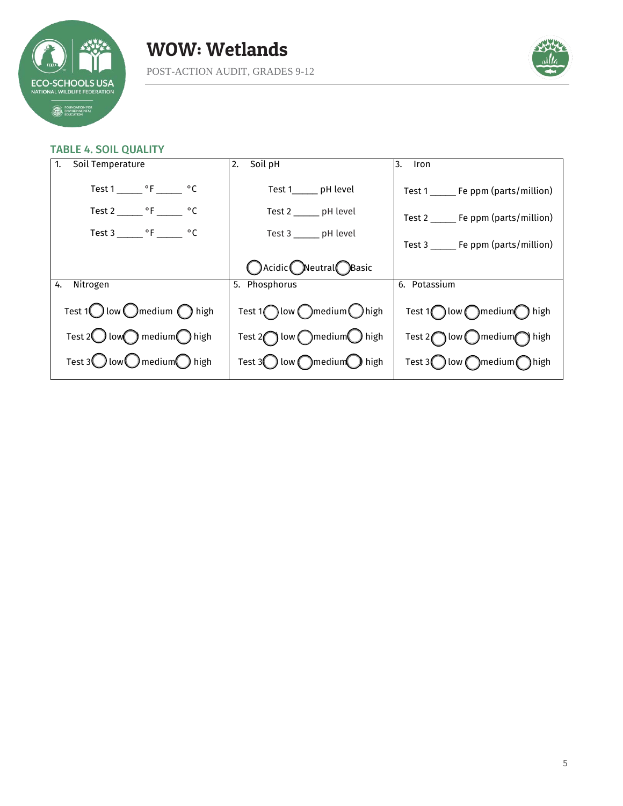

# WOW: Wetlands

POST-ACTION AUDIT, GRADES 9-12



#### TABLE 4. SOIL QUALITY

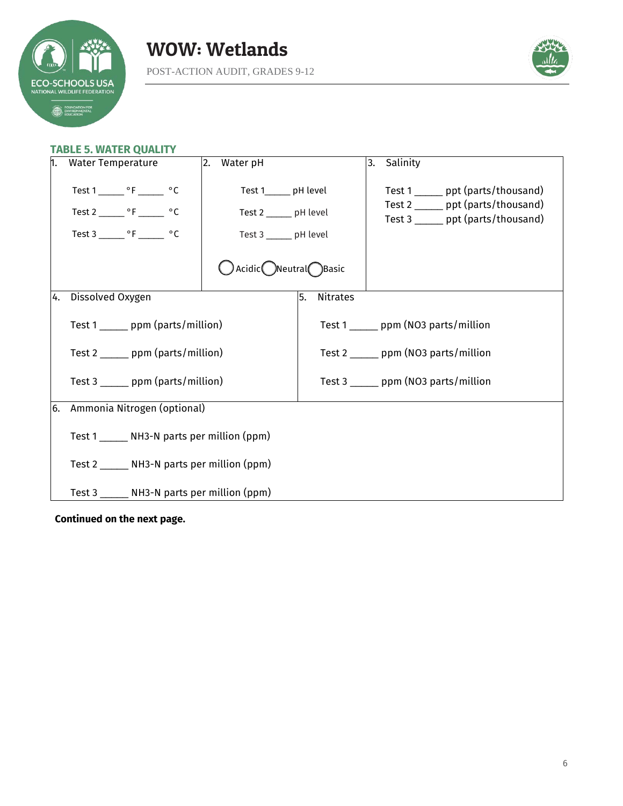



# **TABLE 5. WATER QUALITY**

| n. | <b>Water Temperature</b>                                                                                                        | 2.<br>Water pH                                                                                      |                       | Salinity<br>3.                                                                                                 |  |
|----|---------------------------------------------------------------------------------------------------------------------------------|-----------------------------------------------------------------------------------------------------|-----------------------|----------------------------------------------------------------------------------------------------------------|--|
|    | Test 1 ________ $\circ$ F ________ $\circ$ C<br>Test 2 ________ $\circ$ F _______ $\circ$ C<br>Test $3 \_\_\_\$ °F $\_\_\_\$ °C | Test 1______ pH level<br>Test 2 ______ pH level<br>Test 3 ______ pH level<br>◯ Acidic Neutral Basic |                       | Test 1 ______ ppt (parts/thousand)<br>Test 2 ______ ppt (parts/thousand)<br>Test 3 ______ ppt (parts/thousand) |  |
| 4. | Dissolved Oxygen                                                                                                                |                                                                                                     | 5.<br><b>Nitrates</b> |                                                                                                                |  |
|    | Test 1 _______ ppm (parts/million)                                                                                              |                                                                                                     |                       | Test 1 _______ ppm (NO3 parts/million                                                                          |  |
|    | Test 2 _______ ppm (parts/million)                                                                                              |                                                                                                     |                       | Test 2 _______ ppm (NO3 parts/million                                                                          |  |
|    | Test 3 ______ ppm (parts/million)                                                                                               |                                                                                                     |                       | Test $3 \_\_\_$ ppm (NO3 parts/million                                                                         |  |
| 6. | Ammonia Nitrogen (optional)                                                                                                     |                                                                                                     |                       |                                                                                                                |  |
|    | Test 1 ______ NH3-N parts per million (ppm)                                                                                     |                                                                                                     |                       |                                                                                                                |  |
|    | Test 2 _______ NH3-N parts per million (ppm)                                                                                    |                                                                                                     |                       |                                                                                                                |  |
|    | Test 3 ______ NH3-N parts per million (ppm)                                                                                     |                                                                                                     |                       |                                                                                                                |  |

**Continued on the next page.**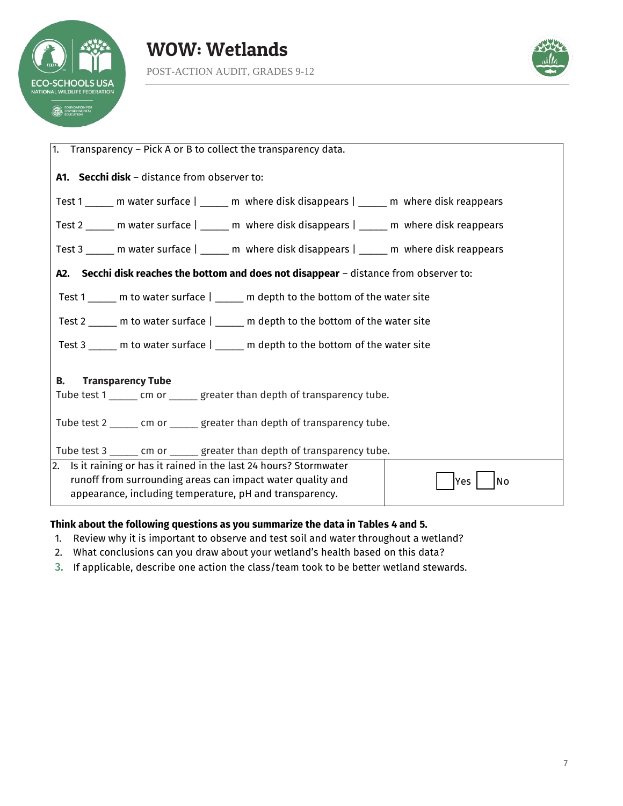



| 1. Transparency – Pick A or B to collect the transparency data.                                                                                                                                          |  |  |
|----------------------------------------------------------------------------------------------------------------------------------------------------------------------------------------------------------|--|--|
| A1. Secchi disk - distance from observer to:                                                                                                                                                             |  |  |
| Test 1 _____ m water surface   _____ m where disk disappears   _____ m where disk reappears                                                                                                              |  |  |
| Test 2 ______ m water surface   _____ m where disk disappears   _____ m where disk reappears                                                                                                             |  |  |
| Test 3 ______ m water surface   ______ m where disk disappears   ______ m where disk reappears                                                                                                           |  |  |
| A2. Secchi disk reaches the bottom and does not disappear - distance from observer to:                                                                                                                   |  |  |
| Test 1 _____ m to water surface   _____ m depth to the bottom of the water site                                                                                                                          |  |  |
| Test 2 _____ m to water surface   _____ m depth to the bottom of the water site                                                                                                                          |  |  |
| Test 3 $\_\_\_\_\$ m to water surface $\vert$ $\_\_\_\_\_\$ m depth to the bottom of the water site                                                                                                      |  |  |
| В.<br><b>Transparency Tube</b><br>Tube test 1 ______ cm or ______ greater than depth of transparency tube.                                                                                               |  |  |
| Tube test 2 ______ cm or ______ greater than depth of transparency tube.                                                                                                                                 |  |  |
| Tube test 3 ______ cm or ______ greater than depth of transparency tube.                                                                                                                                 |  |  |
| 2. Is it raining or has it rained in the last 24 hours? Stormwater<br>runoff from surrounding areas can impact water quality and<br>No<br>Yes<br>appearance, including temperature, pH and transparency. |  |  |

## **Think about the following questions as you summarize the data in Tables 4 and 5.**

- 1. Review why it is important to observe and test soil and water throughout a wetland?
- 2. What conclusions can you draw about your wetland's health based on this data?
- 3. If applicable, describe one action the class/team took to be better wetland stewards.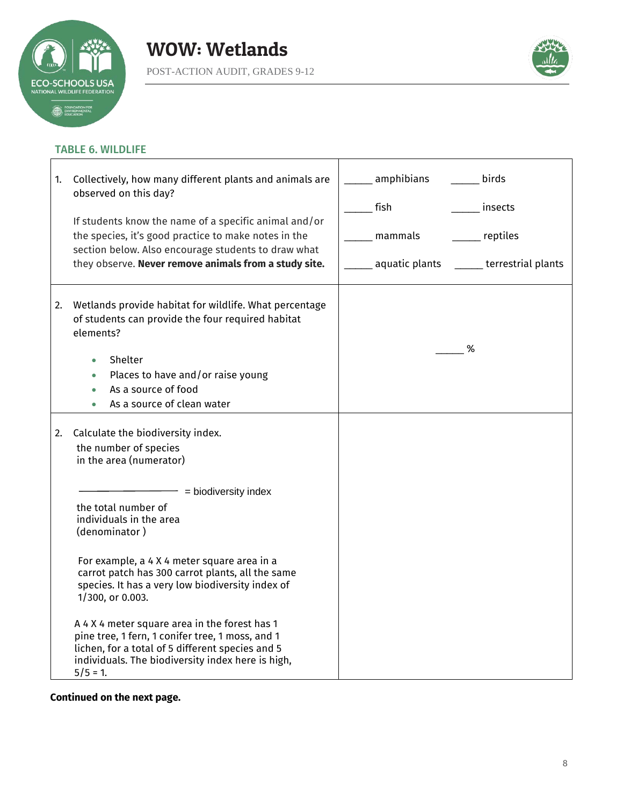

 $\mathbf{r}$ 



 $\overline{\mathbf{1}}$ 

## TABLE 6. WILDLIFE

| 1. | Collectively, how many different plants and animals are<br>observed on this day?<br>If students know the name of a specific animal and/or<br>the species, it's good practice to make notes in the<br>section below. Also encourage students to draw what<br>they observe. Never remove animals from a study site.                                                                                                                                                                                                                                                                        | amphibians<br>birds<br>fish<br>insects<br>reptiles<br>mammals<br>aquatic plants<br>____ terrestrial plants |
|----|------------------------------------------------------------------------------------------------------------------------------------------------------------------------------------------------------------------------------------------------------------------------------------------------------------------------------------------------------------------------------------------------------------------------------------------------------------------------------------------------------------------------------------------------------------------------------------------|------------------------------------------------------------------------------------------------------------|
| 2. | Wetlands provide habitat for wildlife. What percentage<br>of students can provide the four required habitat<br>elements?<br>Shelter<br>$\bullet$<br>Places to have and/or raise young<br>$\bullet$<br>As a source of food<br>As a source of clean water                                                                                                                                                                                                                                                                                                                                  | %                                                                                                          |
| 2. | Calculate the biodiversity index.<br>the number of species<br>in the area (numerator)<br>= biodiversity index<br>the total number of<br>individuals in the area<br>(denominator)<br>For example, a 4 X 4 meter square area in a<br>carrot patch has 300 carrot plants, all the same<br>species. It has a very low biodiversity index of<br>1/300, or 0.003.<br>A 4 X 4 meter square area in the forest has 1<br>pine tree, 1 fern, 1 conifer tree, 1 moss, and 1<br>lichen, for a total of 5 different species and 5<br>individuals. The biodiversity index here is high,<br>$5/5 = 1$ . |                                                                                                            |

Ť

# **Continued on the next page.**